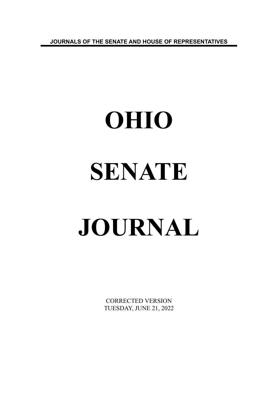**JOURNALS OF THE SENATE AND HOUSE OF REPRESENTATIVES**

# **OHIO SENATE JOURNAL**

CORRECTED VERSION TUESDAY, JUNE 21, 2022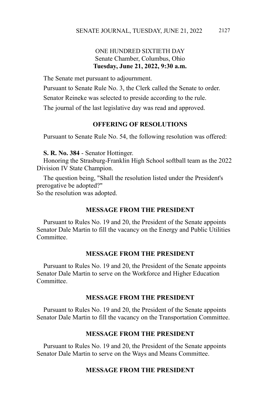# ONE HUNDRED SIXTIETH DAY Senate Chamber, Columbus, Ohio **Tuesday, June 21, 2022, 9:30 a.m.**

The Senate met pursuant to adjournment.

Pursuant to Senate Rule No. 3, the Clerk called the Senate to order.

Senator Reineke was selected to preside according to the rule.

The journal of the last legislative day was read and approved.

#### **OFFERING OF RESOLUTIONS**

Pursuant to Senate Rule No. 54, the following resolution was offered:

**S. R. No. 384** - Senator Hottinger.

Honoring the Strasburg-Franklin High School softball team as the 2022 Division IV State Champion.

The question being, "Shall the resolution listed under the President's prerogative be adopted?" So the resolution was adopted.

# **MESSAGE FROM THE PRESIDENT**

Pursuant to Rules No. 19 and 20, the President of the Senate appoints Senator Dale Martin to fill the vacancy on the Energy and Public Utilities **Committee** 

### **MESSAGE FROM THE PRESIDENT**

Pursuant to Rules No. 19 and 20, the President of the Senate appoints Senator Dale Martin to serve on the Workforce and Higher Education Committee.

#### **MESSAGE FROM THE PRESIDENT**

Pursuant to Rules No. 19 and 20, the President of the Senate appoints Senator Dale Martin to fill the vacancy on the Transportation Committee.

### **MESSAGE FROM THE PRESIDENT**

Pursuant to Rules No. 19 and 20, the President of the Senate appoints Senator Dale Martin to serve on the Ways and Means Committee.

# **MESSAGE FROM THE PRESIDENT**